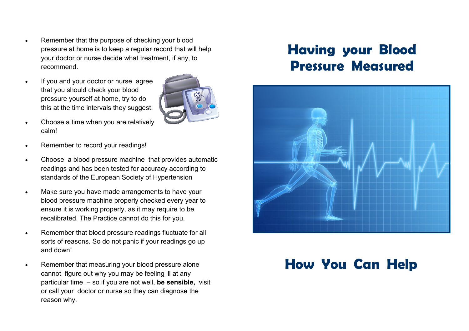- Remember that the purpose of checking your blood pressure at home is to keep a regular record that will help your doctor or nurse decide what treatment, if any, to recommend.
- If you and your doctor or nurse agree that you should check your blood pressure yourself at home, try to do this at the time intervals they suggest.



- Choose a time when you are relatively calm!
- Remember to record your readings!
- Choose a blood pressure machine that provides automatic readings and has been tested for accuracy according to standards of the European Society of Hypertension
- Make sure you have made arrangements to have your blood pressure machine properly checked every year to ensure it is working properly, as it may require to be recalibrated. The Practice cannot do this for you.
- Remember that blood pressure readings fluctuate for all sorts of reasons. So do not panic if your readings go up and down!
- Remember that measuring your blood pressure alone cannot figure out why you may be feeling ill at any particular time – so if you are not well, **be sensible,** visit or call your doctor or nurse so they can diagnose the reason why.

# **Having your Blood Pressure Measured**



# **How You Can Help**